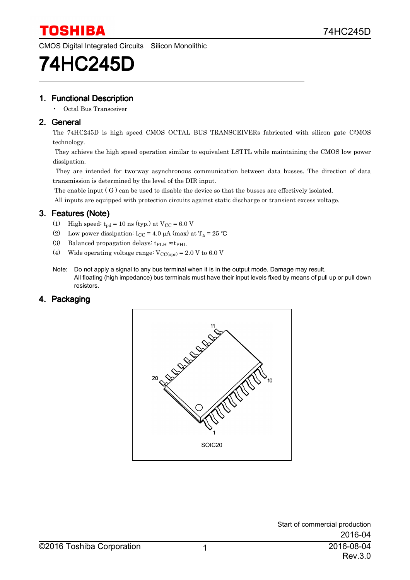

CMOS Digital Integrated Circuits Silicon Monolithic

# 74HC245D

#### 1. Functional Description

• Octal Bus Transceiver

#### 2. General

The 74HC245D is high speed CMOS OCTAL BUS TRANSCEIVERs fabricated with silicon gate C 2MOS technology.

 They achieve the high speed operation similar to equivalent LSTTL while maintaining the CMOS low power dissipation.

 They are intended for two-way asynchronous communication between data busses. The direction of data transmission is determined by the level of the DIR input.

The enable input ( G ) can be used to disable the device so that the busses are effectively isolated.

All inputs are equipped with protection circuits against static discharge or transient excess voltage.

#### 3. Features (Note)

- (1) High speed:  $t_{pd}$  = 10 ns (typ.) at  $V_{CC}$  = 6.0 V
- (2) Low power dissipation:  $I_{CC} = 4.0 \mu A \text{ (max)}$  at  $T_a = 25 \text{ °C}$
- (3) Balanced propagation delays:  $t_{\text{PLH}} \approx t_{\text{PHL}}$
- (4) Wide operating voltage range:  $V_{\text{CC(opr)}} = 2.0 \text{ V}$  to 6.0 V
- Note: Do not apply a signal to any bus terminal when it is in the output mode. Damage may result. All floating (high impedance) bus terminals must have their input levels fixed by means of pull up or pull down resistors.

#### 4. Packaging

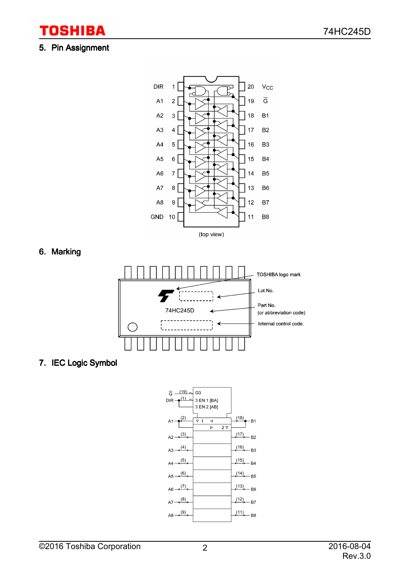#### 5. Pin Assignment

**TOSHIBA** 



6. Marking



7. IEC Logic Symbol

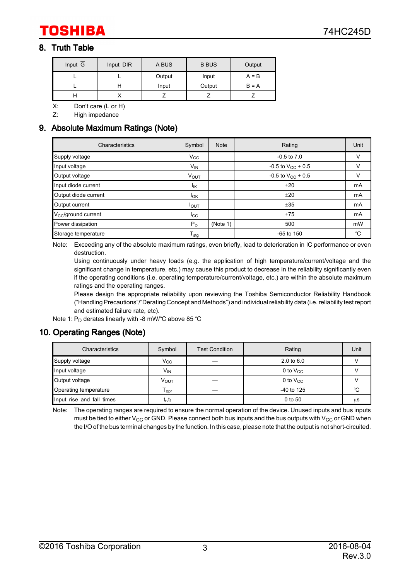#### 8. Truth Table

| Input $\overline{G}$ | Input DIR | A BUS           | <b>B BUS</b> | Output  |
|----------------------|-----------|-----------------|--------------|---------|
|                      |           | Output          | Input        | $A = B$ |
|                      |           | Output<br>Input |              | $B = A$ |
|                      |           |                 |              |         |

X: Don't care (L or H)

Z: High impedance

#### 9. Absolute Maximum Ratings (Note)

| Characteristics                 | Symbol                     | <b>Note</b> | Rating                   | Unit   |
|---------------------------------|----------------------------|-------------|--------------------------|--------|
| Supply voltage                  | $V_{\rm CC}$               |             | $-0.5$ to $7.0$          | $\vee$ |
| Input voltage                   | $V_{IN}$                   |             | $-0.5$ to $V_{CC}$ + 0.5 | $\vee$ |
| Output voltage                  | V <sub>OUT</sub>           |             | $-0.5$ to $V_{CC}$ + 0.5 | $\vee$ |
| Input diode current             | lικ                        |             | ±20                      | mA     |
| Output diode current            | $I_{OK}$                   |             | ±20                      | mA     |
| Output current                  | I <sub>OUT</sub>           |             | ±35                      | mA     |
| V <sub>CC</sub> /ground current | $_{\rm lcc}$               |             | ±75                      | mA     |
| Power dissipation               | $P_D$                      | (Note 1)    | 500                      | mW     |
| Storage temperature             | ${\mathsf T}_{\text{stg}}$ |             | $-65$ to 150             | °C     |

Note: Exceeding any of the absolute maximum ratings, even briefly, lead to deterioration in IC performance or even destruction.

Using continuously under heavy loads (e.g. the application of high temperature/current/voltage and the significant change in temperature, etc.) may cause this product to decrease in the reliability significantly even if the operating conditions (i.e. operating temperature/current/voltage, etc.) are within the absolute maximum ratings and the operating ranges.

Please design the appropriate reliability upon reviewing the Toshiba Semiconductor Reliability Handbook ("Handling Precautions"/"Derating Concept and Methods") and individual reliability data (i.e. reliability test report and estimated failure rate, etc).

Note 1:  $\mathsf{P}_{\mathsf{D}}$  derates linearly with -8 mW/°C above 85 °C

#### 10. Operating Ranges (Note)

| Characteristics           | Symbol                         | <b>Test Condition</b> | Rating                | Unit |
|---------------------------|--------------------------------|-----------------------|-----------------------|------|
| Supply voltage            | $V_{\rm CC}$                   | __                    | $2.0 \text{ to } 6.0$ |      |
| Input voltage             | $V_{IN}$                       |                       | 0 to $V_{CC}$         |      |
| Output voltage            | Ѵ <sub>оит</sub>               |                       | 0 to $V_{CC}$         |      |
| Operating temperature     | l opr                          |                       | $-40$ to 125          | °C   |
| Input rise and fall times | t <sub>r,</sub> t <sub>f</sub> |                       | 0 to 50               | μS   |

Note: The operating ranges are required to ensure the normal operation of the device. Unused inputs and bus inputs must be tied to either V<sub>CC</sub> or GND. Please connect both bus inputs and the bus outputs with V<sub>CC</sub> or GND when the I/O of the bus terminal changes by the function. In this case, please note that the output is not short-circuited.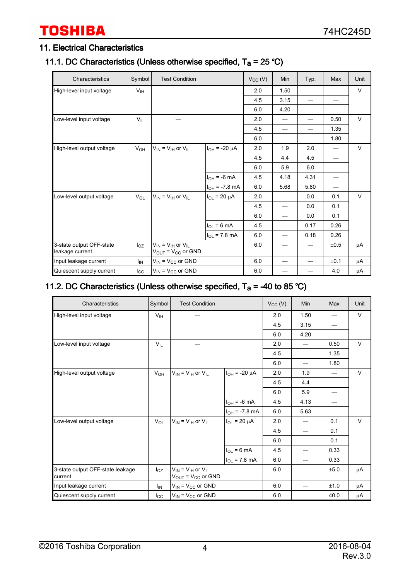## **TOSHIBA**

#### 11. Electrical Characteristics

#### 11.1. DC Characteristics (Unless otherwise specified,  $T_a = 25 \degree C$ )

| Characteristics                             | Symbol          | <b>Test Condition</b>                                        |                           | $V_{CC} (V)$ | Min  | Typ. | Max                             | Unit   |
|---------------------------------------------|-----------------|--------------------------------------------------------------|---------------------------|--------------|------|------|---------------------------------|--------|
| High-level input voltage                    | V <sub>IH</sub> |                                                              |                           | 2.0          | 1.50 |      |                                 | $\vee$ |
|                                             |                 |                                                              |                           | 4.5          | 3.15 |      |                                 |        |
|                                             |                 |                                                              |                           | 6.0          | 4.20 |      |                                 |        |
| Low-level input voltage                     | $V_{IL}$        |                                                              |                           | 2.0          |      |      | 0.50                            | $\vee$ |
|                                             |                 |                                                              |                           | 4.5          |      |      | 1.35                            |        |
|                                             |                 |                                                              |                           | 6.0          |      |      | 1.80                            |        |
| High-level output voltage                   | $V_{OH}$        | $V_{IN} = V_{IH}$ or $V_{IL}$                                | $I_{OH}$ = -20 $\mu$ A    | 2.0          | 1.9  | 2.0  | $\hspace{0.1mm}-\hspace{0.1mm}$ | $\vee$ |
|                                             |                 |                                                              |                           | 4.5          | 4.4  | 4.5  |                                 |        |
|                                             |                 |                                                              |                           | 6.0          | 5.9  | 6.0  |                                 |        |
|                                             |                 |                                                              | $I_{OH}$ = -6 mA          | 4.5          | 4.18 | 4.31 |                                 |        |
|                                             |                 |                                                              | $I_{OH}$ = -7.8 mA        | 6.0          | 5.68 | 5.80 |                                 |        |
| Low-level output voltage                    | $V_{OL}$        | $V_{IN} = V_{IH}$ or $V_{IL}$                                | $I_{OL}$ = 20 $\mu$ A     | 2.0          |      | 0.0  | 0.1                             | V      |
|                                             |                 |                                                              |                           | 4.5          |      | 0.0  | 0.1                             |        |
|                                             |                 |                                                              |                           | 6.0          |      | 0.0  | 0.1                             |        |
|                                             |                 |                                                              | $I_{OL} = 6 mA$           | 4.5          |      | 0.17 | 0.26                            |        |
|                                             |                 |                                                              | $I_{OL} = 7.8 \text{ mA}$ | 6.0          |      | 0.18 | 0.26                            |        |
| 3-state output OFF-state<br>leakage current | $I_{OZ}$        | $V_{IN}$ = $V_{IH}$ or $V_{IL}$<br>$V_{OUT} = V_{CC}$ or GND |                           | 6.0          |      |      | ±0.5                            | μA     |
| Input leakage current                       | I <sub>IN</sub> | $V_{IN}$ = $V_{CC}$ or GND                                   |                           | 6.0          |      |      | ±0.1                            | μA     |
| Quiescent supply current                    | $I_{\rm CC}$    | $V_{IN}$ = $V_{CC}$ or GND                                   |                           | 6.0          |      |      | 4.0                             | μA     |

#### 11.2. DC Characteristics (Unless otherwise specified,  $T_a = -40$  to 85 °C)

| Characteristics                             | Symbol          | <b>Test Condition</b>                                                      |                        | $V_{CC} (V)$ | Min                      | Max                      | Unit   |
|---------------------------------------------|-----------------|----------------------------------------------------------------------------|------------------------|--------------|--------------------------|--------------------------|--------|
| High-level input voltage                    | V <sub>IH</sub> |                                                                            |                        | 2.0          | 1.50                     |                          | V      |
|                                             |                 |                                                                            |                        | 4.5          | 3.15                     | $\overline{\phantom{0}}$ |        |
|                                             |                 |                                                                            |                        | 6.0          | 4.20                     |                          |        |
| Low-level input voltage                     | $V_{IL}$        |                                                                            |                        | 2.0          | $\overline{\phantom{0}}$ | 0.50                     | $\vee$ |
|                                             |                 |                                                                            |                        | 4.5          | $\overline{\phantom{0}}$ | 1.35                     |        |
|                                             |                 |                                                                            |                        | 6.0          | $\overline{\phantom{0}}$ | 1.80                     |        |
| High-level output voltage                   | $V_{OH}$        | $V_{\text{IN}} = V_{\text{IH}}$ or $V_{\text{II}}$                         | $I_{OH}$ = -20 $\mu$ A | 2.0          | 1.9                      |                          | V      |
|                                             |                 |                                                                            |                        | 4.5          | 4.4                      |                          |        |
|                                             |                 |                                                                            |                        | 6.0          | 5.9                      |                          |        |
|                                             |                 |                                                                            | $I_{OH}$ = -6 mA       | 4.5          | 4.13                     |                          |        |
|                                             |                 |                                                                            | $I_{OH}$ = -7.8 mA     | 6.0          | 5.63                     | —                        |        |
| Low-level output voltage                    | $V_{OL}$        | $V_{IN}$ = $V_{IH}$ or $V_{IL}$                                            | $I_{OL}$ = 20 µA       | 2.0          |                          | 0.1                      | $\vee$ |
|                                             |                 |                                                                            |                        | 4.5          | $\overline{\phantom{0}}$ | 0.1                      |        |
|                                             |                 |                                                                            |                        | 6.0          | $\overline{\phantom{0}}$ | 0.1                      |        |
|                                             |                 |                                                                            | $I_{OL}$ = 6 mA        | 4.5          | $\overline{\phantom{0}}$ | 0.33                     |        |
|                                             |                 |                                                                            | $I_{OL}$ = 7.8 mA      | 6.0          | $\overline{\phantom{0}}$ | 0.33                     |        |
| 3-state output OFF-state leakage<br>current | $I_{OZ}$        | $V_{IN} = V_{IH}$ or $V_{IL}$<br>$V_{\text{OUT}}$ = $V_{\text{CC}}$ or GND |                        | 6.0          |                          | ±5.0                     | μA     |
| Input leakage current                       | $I_{IN}$        | $V_{IN}$ = $V_{CC}$ or GND                                                 |                        | 6.0          | $\overline{\phantom{0}}$ | ±1.0                     | μA     |
| Quiescent supply current                    | $I_{\rm CC}$    | $V_{IN} = V_{CC}$ or GND                                                   |                        | 6.0          |                          | 40.0                     | μA     |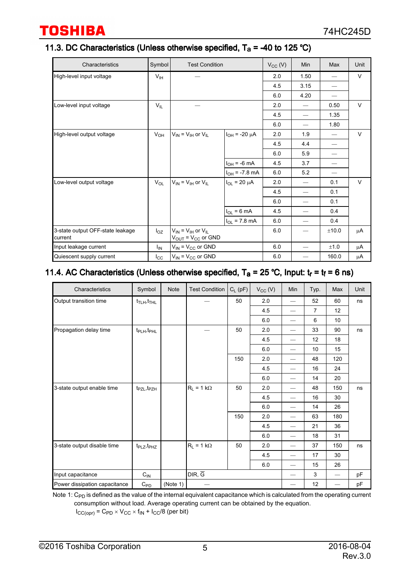#### 11.3. DC Characteristics (Unless otherwise specified,  $T_a = -40$  to 125 °C)

| Characteristics                             | Symbol          | <b>Test Condition</b>                                      |                        | $V_{CC}$ (V) | Min                      | Max   | Unit   |
|---------------------------------------------|-----------------|------------------------------------------------------------|------------------------|--------------|--------------------------|-------|--------|
| High-level input voltage                    | $V_{\text{IH}}$ |                                                            |                        | 2.0          | 1.50                     |       | $\vee$ |
|                                             |                 |                                                            |                        | 4.5          | 3.15                     |       |        |
|                                             |                 |                                                            |                        | 6.0          | 4.20                     |       |        |
| Low-level input voltage                     | $V_{IL}$        |                                                            |                        | 2.0          | $\qquad \qquad$          | 0.50  | V      |
|                                             |                 |                                                            |                        | 4.5          | $\overline{\phantom{0}}$ | 1.35  |        |
|                                             |                 |                                                            |                        | 6.0          | $\overline{\phantom{0}}$ | 1.80  |        |
| High-level output voltage                   | $V_{OH}$        | $V_{\text{IN}} = V_{\text{IH}}$ or $V_{\text{IL}}$         | $I_{OH}$ = -20 $\mu$ A | 2.0          | 1.9                      |       | V      |
|                                             |                 |                                                            |                        | 4.5          | 4.4                      |       |        |
|                                             |                 |                                                            |                        | 6.0          | 5.9                      |       |        |
|                                             |                 |                                                            | $I_{OH} = -6$ mA       | 4.5          | 3.7                      |       |        |
|                                             |                 |                                                            | $I_{OH}$ = -7.8 mA     | 6.0          | 5.2                      | —     |        |
| Low-level output voltage                    | $V_{OL}$        | $V_{IN} = V_{IH}$ or $V_{IL}$                              | $I_{OL}$ = 20 $\mu$ A  | 2.0          | $\overline{\phantom{0}}$ | 0.1   | V      |
|                                             |                 |                                                            |                        | 4.5          | $\overline{\phantom{0}}$ | 0.1   |        |
|                                             |                 |                                                            |                        | 6.0          | $\overline{\phantom{0}}$ | 0.1   |        |
|                                             |                 |                                                            | $I_{OL} = 6 mA$        | 4.5          | $\overline{\phantom{0}}$ | 0.4   |        |
|                                             |                 |                                                            | $I_{OL}$ = 7.8 mA      | 6.0          | $\overline{\phantom{0}}$ | 0.4   |        |
| 3-state output OFF-state leakage<br>current | $I_{OZ}$        | $V_{IN} = V_{IH}$ or $V_{IL}$<br>$V_{OUT} = V_{CC}$ or GND |                        | 6.0          |                          | ±10.0 | μA     |
| Input leakage current                       | $I_{IN}$        | $V_{IN}$ = $V_{CC}$ or GND                                 |                        | 6.0          |                          | ±1.0  | μA     |
| Quiescent supply current                    | $I_{\rm CC}$    | $V_{IN}$ = $V_{CC}$ or GND                                 |                        | 6.0          |                          | 160.0 | μA     |

#### 11.4. AC Characteristics (Unless otherwise specified,  $T_a = 25 \degree C$ , Input:  $t_r = t_f = 6 \text{ ns}$ )

| Characteristics               | Symbol                               | <b>Note</b> | <b>Test Condition</b> | $C_L$ (pF) | $V_{CC} (V)$ | Min                      | Typ.           | Max | Unit |
|-------------------------------|--------------------------------------|-------------|-----------------------|------------|--------------|--------------------------|----------------|-----|------|
| Output transition time        | $t_{\text{TLH}}$ , $t_{\text{THL}}$  |             |                       | 50         | 2.0          |                          | 52             | 60  | ns   |
|                               |                                      |             |                       |            | 4.5          | —                        | $\overline{7}$ | 12  |      |
|                               |                                      |             |                       |            | 6.0          |                          | 6              | 10  |      |
| Propagation delay time        | $t_{\mathsf{PLH}}, t_{\mathsf{PHL}}$ |             |                       | 50         | 2.0          | $\overline{\phantom{0}}$ | 33             | 90  | ns   |
|                               |                                      |             |                       |            | 4.5          |                          | 12             | 18  |      |
|                               |                                      |             |                       |            | 6.0          | $\overline{\phantom{0}}$ | 10             | 15  |      |
|                               |                                      |             |                       | 150        | 2.0          |                          | 48             | 120 |      |
|                               |                                      |             |                       |            | 4.5          |                          | 16             | 24  |      |
|                               |                                      |             |                       |            | 6.0          | $\overline{\phantom{0}}$ | 14             | 20  |      |
| 3-state output enable time    | $t_{PZL}, t_{PZH}$                   |             | $R_L = 1 k\Omega$     | 50         | 2.0          | $\overline{\phantom{0}}$ | 48             | 150 | ns   |
|                               |                                      |             |                       |            | 4.5          | —                        | 16             | 30  |      |
|                               |                                      |             |                       |            | 6.0          |                          | 14             | 26  |      |
|                               |                                      |             |                       | 150        | 2.0          | $\overline{\phantom{0}}$ | 63             | 180 |      |
|                               |                                      |             |                       |            | 4.5          | $\overline{\phantom{0}}$ | 21             | 36  |      |
|                               |                                      |             |                       |            | 6.0          |                          | 18             | 31  |      |
| 3-state output disable time   | t <sub>PLZ</sub> , t <sub>PHZ</sub>  |             | $R_L = 1 k\Omega$     | 50         | 2.0          |                          | 37             | 150 | ns   |
|                               |                                      |             |                       |            | 4.5          |                          | 17             | 30  |      |
|                               |                                      |             |                       |            | 6.0          | $\overline{\phantom{0}}$ | 15             | 26  |      |
| Input capacitance             | $C_{\text{IN}}$                      |             | DIR, G                |            |              |                          | 3              |     | pF   |
| Power dissipation capacitance | $C_{PD}$                             | (Note 1)    |                       |            |              |                          | 12             |     | pF   |

Note 1:  $\rm C_{PD}$  is defined as the value of the internal equivalent capacitance which is calculated from the operating current consumption without load. Average operating current can be obtained by the equation.  $I_{CC(opr)} = C_{PD} \times V_{CC} \times f_{IN} + I_{CC}/8$  (per bit)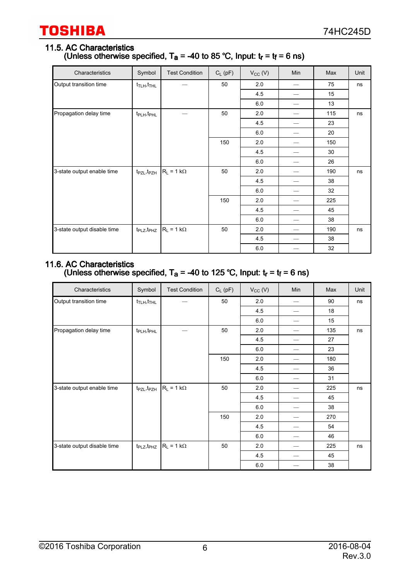#### 11.5. AC Characteristics (Unless otherwise specified,  $T_a$  = -40 to 85 °C, Input:  $t_r$  =  $t_f$  = 6 ns)

| Characteristics             | Symbol                              | <b>Test Condition</b> | $C_L$ (pF) | $V_{CC}$ (V) | Min | Max | Unit |
|-----------------------------|-------------------------------------|-----------------------|------------|--------------|-----|-----|------|
| Output transition time      | $t_{\text{TLH}}$ , $t_{\text{THL}}$ |                       | 50         | 2.0          |     | 75  | ns   |
|                             |                                     |                       |            | 4.5          |     | 15  |      |
|                             |                                     |                       |            | 6.0          |     | 13  |      |
| Propagation delay time      | t <sub>PLH</sub> , t <sub>PHL</sub> |                       | 50         | 2.0          |     | 115 | ns   |
|                             |                                     |                       |            | 4.5          |     | 23  |      |
|                             |                                     |                       |            | 6.0          |     | 20  |      |
|                             |                                     |                       | 150        | 2.0          |     | 150 |      |
|                             |                                     |                       |            | 4.5          |     | 30  |      |
|                             |                                     |                       |            | 6.0          |     | 26  |      |
| 3-state output enable time  | $t_{PZL}, t_{PZH}$                  | $R_L = 1 k\Omega$     | 50         | 2.0          |     | 190 | ns   |
|                             |                                     |                       |            | 4.5          |     | 38  |      |
|                             |                                     |                       |            | 6.0          |     | 32  |      |
|                             |                                     |                       | 150        | 2.0          |     | 225 |      |
|                             |                                     |                       |            | 4.5          |     | 45  |      |
|                             |                                     |                       |            | 6.0          |     | 38  |      |
| 3-state output disable time | $t_{PLZ}, t_{PHZ}$                  | $R_L = 1 k\Omega$     | 50         | 2.0          |     | 190 | ns   |
|                             |                                     |                       |            | 4.5          |     | 38  |      |
|                             |                                     |                       |            | 6.0          |     | 32  |      |

#### 11.6. AC Characteristics (Unless otherwise specified,  $T_a = -40$  to 125 °C, Input:  $t_r = t_f = 6$  ns)

| Characteristics             | Symbol                              | <b>Test Condition</b> | $C_L$ (pF) | $V_{CC} (V)$ | Min                      | Max | Unit |
|-----------------------------|-------------------------------------|-----------------------|------------|--------------|--------------------------|-----|------|
| Output transition time      | $t_{\text{TLH}}$ , $t_{\text{THL}}$ |                       | 50         | 2.0          | $\overline{\phantom{0}}$ | 90  | ns   |
|                             |                                     |                       |            | 4.5          |                          | 18  |      |
|                             |                                     |                       |            | 6.0          |                          | 15  |      |
| Propagation delay time      | t <sub>PLH</sub> , t <sub>PHL</sub> |                       | 50         | 2.0          |                          | 135 | ns   |
|                             |                                     |                       |            | 45           |                          | 27  |      |
|                             |                                     |                       |            | 6.0          |                          | 23  |      |
|                             |                                     |                       | 150        | 2.0          |                          | 180 |      |
|                             |                                     |                       |            | 4.5          |                          | 36  |      |
|                             |                                     |                       |            | 6.0          |                          | 31  |      |
| 3-state output enable time  | $t_{PZL}, t_{PZH}$                  | $R_L = 1 k\Omega$     | 50         | 2.0          | —                        | 225 | ns   |
|                             |                                     |                       |            | 45           | —                        | 45  |      |
|                             |                                     |                       |            | 6.0          |                          | 38  |      |
|                             |                                     |                       | 150        | 2.0          |                          | 270 |      |
|                             |                                     |                       |            | 4.5          |                          | 54  |      |
|                             |                                     |                       |            | 6.0          |                          | 46  |      |
| 3-state output disable time | $t_{PLZ}, t_{PHZ}$                  | $R_L = 1 k\Omega$     | 50         | 2.0          |                          | 225 | ns   |
|                             |                                     |                       |            | 4.5          |                          | 45  |      |
|                             |                                     |                       |            | 6.0          |                          | 38  |      |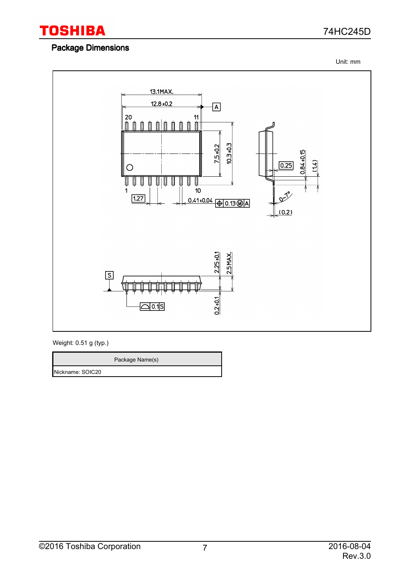

#### Package Dimensions

74HC245D

Unit: mm



Weight: 0.51 g (typ.)

Package Name(s) Nickname: SOIC20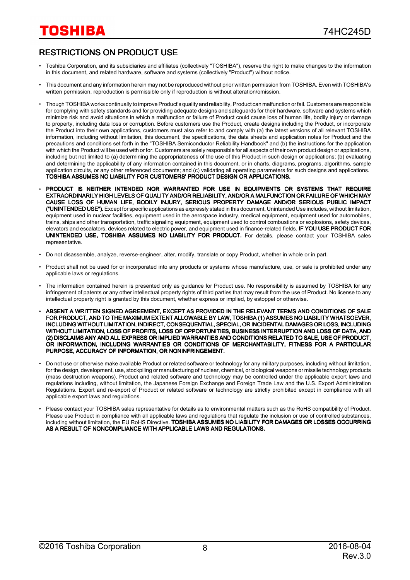#### RESTRICTIONS ON PRODUCT USE

- Toshiba Corporation, and its subsidiaries and affiliates (collectively "TOSHIBA"), reserve the right to make changes to the information in this document, and related hardware, software and systems (collectively "Product") without notice.
- This document and any information herein may not be reproduced without prior written permission from TOSHIBA. Even with TOSHIBA's written permission, reproduction is permissible only if reproduction is without alteration/omission.
- Though TOSHIBA works continually to improve Product's quality and reliability, Product can malfunction or fail. Customers are responsible for complying with safety standards and for providing adequate designs and safeguards for their hardware, software and systems which minimize risk and avoid situations in which a malfunction or failure of Product could cause loss of human life, bodily injury or damage to property, including data loss or corruption. Before customers use the Product, create designs including the Product, or incorporate the Product into their own applications, customers must also refer to and comply with (a) the latest versions of all relevant TOSHIBA information, including without limitation, this document, the specifications, the data sheets and application notes for Product and the precautions and conditions set forth in the "TOSHIBA Semiconductor Reliability Handbook" and (b) the instructions for the application with which the Product will be used with or for. Customers are solely responsible for all aspects of their own product design or applications, including but not limited to (a) determining the appropriateness of the use of this Product in such design or applications; (b) evaluating and determining the applicability of any information contained in this document, or in charts, diagrams, programs, algorithms, sample application circuits, or any other referenced documents; and (c) validating all operating parameters for such designs and applications. TOSHIBA ASSUMES NO LIABILITY FOR CUSTOMERS' PRODUCT DESIGN OR APPLICATIONS.
- PRODUCT IS NEITHER INTENDED NOR WARRANTED FOR USE IN EQUIPMENTS OR SYSTEMS THAT REQUIRE EXTRAORDINARILY HIGH LEVELS OF QUALITY AND/OR RELIABILITY, AND/OR A MALFUNCTION OR FAILURE OF WHICH MAY CAUSE LOSS OF HUMAN LIFE, BODILY INJURY, SERIOUS PROPERTY DAMAGE AND/OR SERIOUS PUBLIC IMPACT ("UNINTENDED USE"). Except for specific applications as expressly stated in this document, Unintended Use includes, without limitation, equipment used in nuclear facilities, equipment used in the aerospace industry, medical equipment, equipment used for automobiles, trains, ships and other transportation, traffic signaling equipment, equipment used to control combustions or explosions, safety devices, elevators and escalators, devices related to electric power, and equipment used in finance-related fields. IF YOU USE PRODUCT FOR UNINTENDED USE, TOSHIBA ASSUMES NO LIABILITY FOR PRODUCT. For details, please contact your TOSHIBA sales representative.
- Do not disassemble, analyze, reverse-engineer, alter, modify, translate or copy Product, whether in whole or in part.
- Product shall not be used for or incorporated into any products or systems whose manufacture, use, or sale is prohibited under any applicable laws or regulations.
- The information contained herein is presented only as guidance for Product use. No responsibility is assumed by TOSHIBA for any infringement of patents or any other intellectual property rights of third parties that may result from the use of Product. No license to any intellectual property right is granted by this document, whether express or implied, by estoppel or otherwise.
- ABSENT A WRITTEN SIGNED AGREEMENT, EXCEPT AS PROVIDED IN THE RELEVANT TERMS AND CONDITIONS OF SALE FOR PRODUCT, AND TO THE MAXIMUM EXTENT ALLOWABLE BY LAW, TOSHIBA (1) ASSUMES NO LIABILITY WHATSOEVER, INCLUDING WITHOUT LIMITATION, INDIRECT, CONSEQUENTIAL, SPECIAL, OR INCIDENTAL DAMAGES OR LOSS, INCLUDING WITHOUT LIMITATION, LOSS OF PROFITS, LOSS OF OPPORTUNITIES, BUSINESS INTERRUPTION AND LOSS OF DATA, AND (2) DISCLAIMS ANY AND ALL EXPRESS OR IMPLIED WARRANTIES AND CONDITIONS RELATED TO SALE, USE OF PRODUCT, OR INFORMATION, INCLUDING WARRANTIES OR CONDITIONS OF MERCHANTABILITY, FITNESS FOR A PARTICULAR PURPOSE, ACCURACY OF INFORMATION, OR NONINFRINGEMENT.
- Do not use or otherwise make available Product or related software or technology for any military purposes, including without limitation, for the design, development, use, stockpiling or manufacturing of nuclear, chemical, or biological weapons or missile technology products (mass destruction weapons). Product and related software and technology may be controlled under the applicable export laws and regulations including, without limitation, the Japanese Foreign Exchange and Foreign Trade Law and the U.S. Export Administration Regulations. Export and re-export of Product or related software or technology are strictly prohibited except in compliance with all applicable export laws and regulations.
- Please contact your TOSHIBA sales representative for details as to environmental matters such as the RoHS compatibility of Product. Please use Product in compliance with all applicable laws and regulations that regulate the inclusion or use of controlled substances, including without limitation, the EU RoHS Directive. TOSHIBA ASSUMES NO LIABILITY FOR DAMAGES OR LOSSES OCCURRING AS A RESULT OF NONCOMPLIANCE WITH APPLICABLE LAWS AND REGULATIONS.